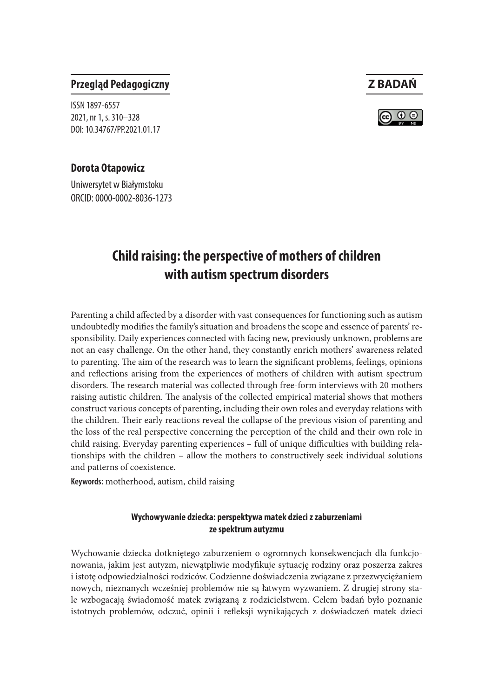

## **Przegląd Pedagogiczny Z BADAŃ**

ISSN 1897-6557 2021, nr 1, s. 310–328 DOI: 10.34767/PP.2021.01.17

#### **Dorota Otapowicz**

Uniwersytet w Białymstoku ORCID: 0000-0002-8036-1273

# **Child raising: the perspective of mothers of children with autism spectrum disorders**

Parenting a child affected by a disorder with vast consequences for functioning such as autism undoubtedly modifies the family's situation and broadens the scope and essence of parents' responsibility. Daily experiences connected with facing new, previously unknown, problems are not an easy challenge. On the other hand, they constantly enrich mothers' awareness related to parenting. The aim of the research was to learn the significant problems, feelings, opinions and reflections arising from the experiences of mothers of children with autism spectrum disorders. The research material was collected through free-form interviews with 20 mothers raising autistic children. The analysis of the collected empirical material shows that mothers construct various concepts of parenting, including their own roles and everyday relations with the children. Their early reactions reveal the collapse of the previous vision of parenting and the loss of the real perspective concerning the perception of the child and their own role in child raising. Everyday parenting experiences – full of unique difficulties with building relationships with the children – allow the mothers to constructively seek individual solutions and patterns of coexistence.

**Keywords:** motherhood, autism, child raising

#### **Wychowywanie dziecka: perspektywa matek dzieci z zaburzeniami ze spektrum autyzmu**

Wychowanie dziecka dotkniętego zaburzeniem o ogromnych konsekwencjach dla funkcjonowania, jakim jest autyzm, niewątpliwie modyfikuje sytuację rodziny oraz poszerza zakres i istotę odpowiedzialności rodziców. Codzienne doświadczenia związane z przezwyciężaniem nowych, nieznanych wcześniej problemów nie są łatwym wyzwaniem. Z drugiej strony stale wzbogacają świadomość matek związaną z rodzicielstwem. Celem badań było poznanie istotnych problemów, odczuć, opinii i refleksji wynikających z doświadczeń matek dzieci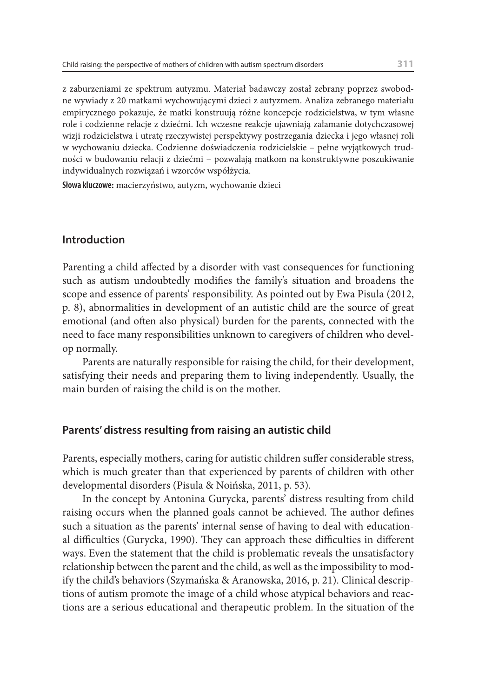z zaburzeniami ze spektrum autyzmu. Materiał badawczy został zebrany poprzez swobodne wywiady z 20 matkami wychowującymi dzieci z autyzmem. Analiza zebranego materiału empirycznego pokazuje, że matki konstruują różne koncepcje rodzicielstwa, w tym własne role i codzienne relacje z dziećmi. Ich wczesne reakcje ujawniają załamanie dotychczasowej wizji rodzicielstwa i utratę rzeczywistej perspektywy postrzegania dziecka i jego własnej roli w wychowaniu dziecka. Codzienne doświadczenia rodzicielskie – pełne wyjątkowych trudności w budowaniu relacji z dziećmi – pozwalają matkom na konstruktywne poszukiwanie indywidualnych rozwiązań i wzorców współżycia.

**Słowa kluczowe:** macierzyństwo, autyzm, wychowanie dzieci

#### **Introduction**

Parenting a child affected by a disorder with vast consequences for functioning such as autism undoubtedly modifies the family's situation and broadens the scope and essence of parents' responsibility. As pointed out by Ewa Pisula (2012, p. 8), abnormalities in development of an autistic child are the source of great emotional (and often also physical) burden for the parents, connected with the need to face many responsibilities unknown to caregivers of children who develop normally.

Parents are naturally responsible for raising the child, for their development, satisfying their needs and preparing them to living independently. Usually, the main burden of raising the child is on the mother.

#### **Parents' distress resulting from raising an autistic child**

Parents, especially mothers, caring for autistic children suffer considerable stress, which is much greater than that experienced by parents of children with other developmental disorders (Pisula & Noińska, 2011, p. 53).

In the concept by Antonina Gurycka, parents' distress resulting from child raising occurs when the planned goals cannot be achieved. The author defines such a situation as the parents' internal sense of having to deal with educational difficulties (Gurycka, 1990). They can approach these difficulties in different ways. Even the statement that the child is problematic reveals the unsatisfactory relationship between the parent and the child, as well as the impossibility to modify the child's behaviors (Szymańska & Aranowska, 2016, p. 21). Clinical descriptions of autism promote the image of a child whose atypical behaviors and reactions are a serious educational and therapeutic problem. In the situation of the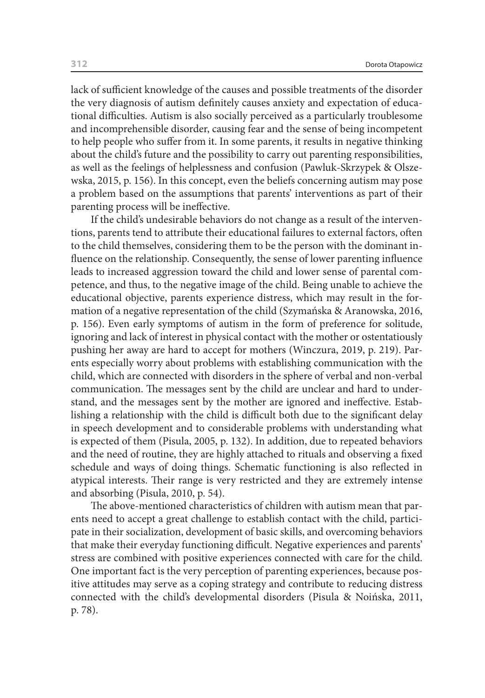lack of sufficient knowledge of the causes and possible treatments of the disorder the very diagnosis of autism definitely causes anxiety and expectation of educational difficulties. Autism is also socially perceived as a particularly troublesome and incomprehensible disorder, causing fear and the sense of being incompetent to help people who suffer from it. In some parents, it results in negative thinking about the child's future and the possibility to carry out parenting responsibilities, as well as the feelings of helplessness and confusion (Pawluk-Skrzypek & Olszewska, 2015, p. 156). In this concept, even the beliefs concerning autism may pose a problem based on the assumptions that parents' interventions as part of their parenting process will be ineffective.

If the child's undesirable behaviors do not change as a result of the interventions, parents tend to attribute their educational failures to external factors, often to the child themselves, considering them to be the person with the dominant influence on the relationship. Consequently, the sense of lower parenting influence leads to increased aggression toward the child and lower sense of parental competence, and thus, to the negative image of the child. Being unable to achieve the educational objective, parents experience distress, which may result in the formation of a negative representation of the child (Szymańska & Aranowska, 2016, p. 156). Even early symptoms of autism in the form of preference for solitude, ignoring and lack of interest in physical contact with the mother or ostentatiously pushing her away are hard to accept for mothers (Winczura, 2019, p. 219). Parents especially worry about problems with establishing communication with the child, which are connected with disorders in the sphere of verbal and non-verbal communication. The messages sent by the child are unclear and hard to understand, and the messages sent by the mother are ignored and ineffective. Establishing a relationship with the child is difficult both due to the significant delay in speech development and to considerable problems with understanding what is expected of them (Pisula, 2005, p. 132). In addition, due to repeated behaviors and the need of routine, they are highly attached to rituals and observing a fixed schedule and ways of doing things. Schematic functioning is also reflected in atypical interests. Their range is very restricted and they are extremely intense and absorbing (Pisula, 2010, p. 54).

The above-mentioned characteristics of children with autism mean that parents need to accept a great challenge to establish contact with the child, participate in their socialization, development of basic skills, and overcoming behaviors that make their everyday functioning difficult. Negative experiences and parents' stress are combined with positive experiences connected with care for the child. One important fact is the very perception of parenting experiences, because positive attitudes may serve as a coping strategy and contribute to reducing distress connected with the child's developmental disorders (Pisula & Noińska, 2011, p. 78).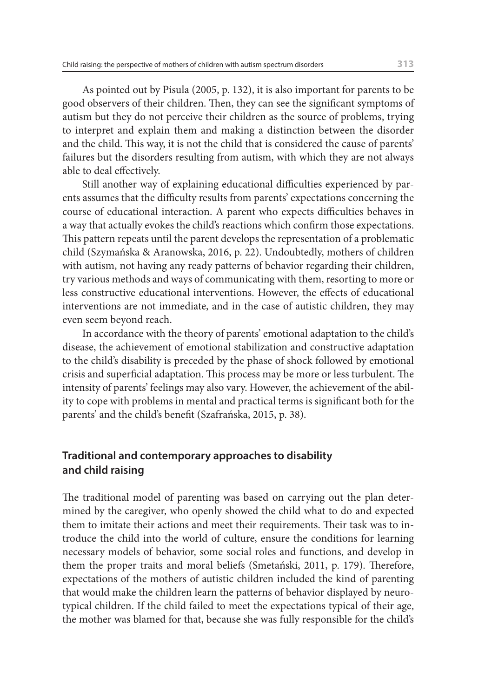As pointed out by Pisula (2005, p. 132), it is also important for parents to be good observers of their children. Then, they can see the significant symptoms of autism but they do not perceive their children as the source of problems, trying to interpret and explain them and making a distinction between the disorder and the child. This way, it is not the child that is considered the cause of parents' failures but the disorders resulting from autism, with which they are not always able to deal effectively.

Still another way of explaining educational difficulties experienced by parents assumes that the difficulty results from parents' expectations concerning the course of educational interaction. A parent who expects difficulties behaves in a way that actually evokes the child's reactions which confirm those expectations. This pattern repeats until the parent develops the representation of a problematic child (Szymańska & Aranowska, 2016, p. 22). Undoubtedly, mothers of children with autism, not having any ready patterns of behavior regarding their children, try various methods and ways of communicating with them, resorting to more or less constructive educational interventions. However, the effects of educational interventions are not immediate, and in the case of autistic children, they may even seem beyond reach.

In accordance with the theory of parents' emotional adaptation to the child's disease, the achievement of emotional stabilization and constructive adaptation to the child's disability is preceded by the phase of shock followed by emotional crisis and superficial adaptation. This process may be more or less turbulent. The intensity of parents' feelings may also vary. However, the achievement of the ability to cope with problems in mental and practical terms is significant both for the parents' and the child's benefit (Szafrańska, 2015, p. 38).

# **Traditional and contemporary approaches to disability and child raising**

The traditional model of parenting was based on carrying out the plan determined by the caregiver, who openly showed the child what to do and expected them to imitate their actions and meet their requirements. Their task was to introduce the child into the world of culture, ensure the conditions for learning necessary models of behavior, some social roles and functions, and develop in them the proper traits and moral beliefs (Smetański, 2011, p. 179). Therefore, expectations of the mothers of autistic children included the kind of parenting that would make the children learn the patterns of behavior displayed by neurotypical children. If the child failed to meet the expectations typical of their age, the mother was blamed for that, because she was fully responsible for the child's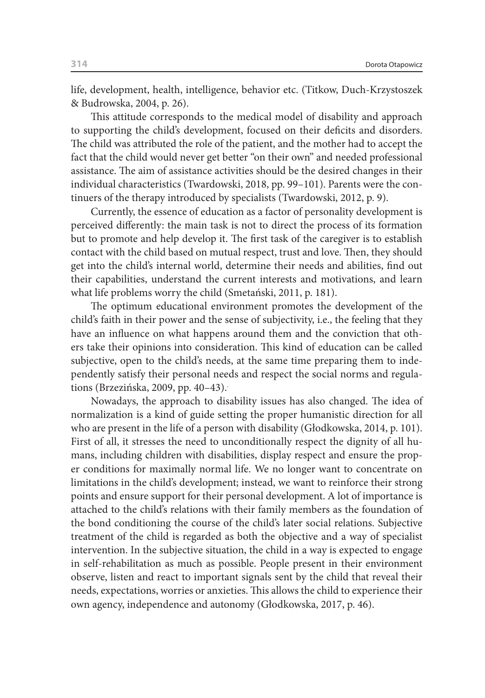life, development, health, intelligence, behavior etc. (Titkow, Duch-Krzystoszek & Budrowska, 2004, p. 26).

This attitude corresponds to the medical model of disability and approach to supporting the child's development, focused on their deficits and disorders. The child was attributed the role of the patient, and the mother had to accept the fact that the child would never get better "on their own" and needed professional assistance. The aim of assistance activities should be the desired changes in their individual characteristics (Twardowski, 2018, pp. 99–101). Parents were the continuers of the therapy introduced by specialists (Twardowski, 2012, p. 9).

Currently, the essence of education as a factor of personality development is perceived differently: the main task is not to direct the process of its formation but to promote and help develop it. The first task of the caregiver is to establish contact with the child based on mutual respect, trust and love. Then, they should get into the child's internal world, determine their needs and abilities, find out their capabilities, understand the current interests and motivations, and learn what life problems worry the child (Smetański, 2011, p. 181).

The optimum educational environment promotes the development of the child's faith in their power and the sense of subjectivity, i.e., the feeling that they have an influence on what happens around them and the conviction that others take their opinions into consideration. This kind of education can be called subjective, open to the child's needs, at the same time preparing them to independently satisfy their personal needs and respect the social norms and regulations (Brzezińska, 2009, pp. 40-43).

Nowadays, the approach to disability issues has also changed. The idea of normalization is a kind of guide setting the proper humanistic direction for all who are present in the life of a person with disability (Głodkowska, 2014, p. 101). First of all, it stresses the need to unconditionally respect the dignity of all humans, including children with disabilities, display respect and ensure the proper conditions for maximally normal life. We no longer want to concentrate on limitations in the child's development; instead, we want to reinforce their strong points and ensure support for their personal development. A lot of importance is attached to the child's relations with their family members as the foundation of the bond conditioning the course of the child's later social relations. Subjective treatment of the child is regarded as both the objective and a way of specialist intervention. In the subjective situation, the child in a way is expected to engage in self-rehabilitation as much as possible. People present in their environment observe, listen and react to important signals sent by the child that reveal their needs, expectations, worries or anxieties. This allows the child to experience their own agency, independence and autonomy (Głodkowska, 2017, p. 46).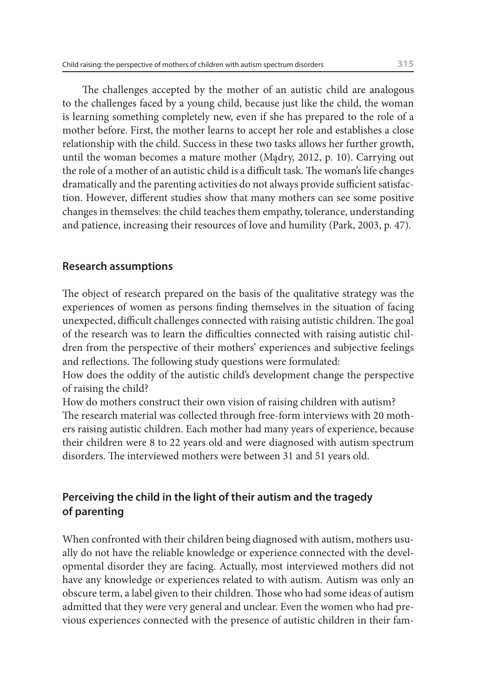The challenges accepted by the mother of an autistic child are analogous to the challenges faced by a young child, because just like the child, the woman is learning something completely new, even if she has prepared to the role of a mother before. First, the mother learns to accept her role and establishes a close relationship with the child. Success in these two tasks allows her further growth, until the woman becomes a mature mother (Mądry, 2012, p. 10). Carrying out the role of a mother of an autistic child is a difficult task. The woman's life changes dramatically and the parenting activities do not always provide sufficient satisfaction. However, different studies show that many mothers can see some positive changes in themselves: the child teaches them empathy, tolerance, understanding and patience, increasing their resources of love and humility (Park, 2003, p. 47).

### **Research assumptions**

The object of research prepared on the basis of the qualitative strategy was the experiences of women as persons finding themselves in the situation of facing unexpected, difficult challenges connected with raising autistic children. The goal of the research was to learn the difficulties connected with raising autistic children from the perspective of their mothers' experiences and subjective feelings and reflections. The following study questions were formulated:

How does the oddity of the autistic child's development change the perspective of raising the child?

How do mothers construct their own vision of raising children with autism? The research material was collected through free-form interviews with 20 mothers raising autistic children. Each mother had many years of experience, because their children were 8 to 22 years old and were diagnosed with autism spectrum disorders. The interviewed mothers were between 31 and 51 years old.

# **Perceiving the child in the light of their autism and the tragedy of parenting**

When confronted with their children being diagnosed with autism, mothers usually do not have the reliable knowledge or experience connected with the developmental disorder they are facing. Actually, most interviewed mothers did not have any knowledge or experiences related to with autism. Autism was only an obscure term, a label given to their children. Those who had some ideas of autism admitted that they were very general and unclear. Even the women who had previous experiences connected with the presence of autistic children in their fam-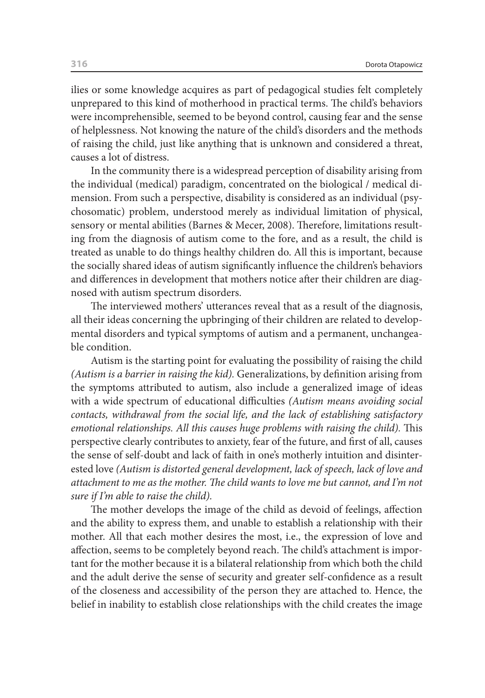ilies or some knowledge acquires as part of pedagogical studies felt completely unprepared to this kind of motherhood in practical terms. The child's behaviors were incomprehensible, seemed to be beyond control, causing fear and the sense of helplessness. Not knowing the nature of the child's disorders and the methods of raising the child, just like anything that is unknown and considered a threat, causes a lot of distress.

In the community there is a widespread perception of disability arising from the individual (medical) paradigm, concentrated on the biological / medical dimension. From such a perspective, disability is considered as an individual (psychosomatic) problem, understood merely as individual limitation of physical, sensory or mental abilities (Barnes & Mecer, 2008). Therefore, limitations resulting from the diagnosis of autism come to the fore, and as a result, the child is treated as unable to do things healthy children do. All this is important, because the socially shared ideas of autism significantly influence the children's behaviors and differences in development that mothers notice after their children are diagnosed with autism spectrum disorders.

The interviewed mothers' utterances reveal that as a result of the diagnosis, all their ideas concerning the upbringing of their children are related to developmental disorders and typical symptoms of autism and a permanent, unchangeable condition.

Autism is the starting point for evaluating the possibility of raising the child *(Autism is a barrier in raising the kid).* Generalizations, by definition arising from the symptoms attributed to autism, also include a generalized image of ideas with a wide spectrum of educational difficulties *(Autism means avoiding social contacts, withdrawal from the social life, and the lack of establishing satisfactory emotional relationships. All this causes huge problems with raising the child).* This perspective clearly contributes to anxiety, fear of the future, and first of all, causes the sense of self-doubt and lack of faith in one's motherly intuition and disinterested love *(Autism is distorted general development, lack of speech, lack of love and attachment to me as the mother. The child wants to love me but cannot, and I'm not sure if I'm able to raise the child).*

The mother develops the image of the child as devoid of feelings, affection and the ability to express them, and unable to establish a relationship with their mother. All that each mother desires the most, i.e., the expression of love and affection, seems to be completely beyond reach. The child's attachment is important for the mother because it is a bilateral relationship from which both the child and the adult derive the sense of security and greater self-confidence as a result of the closeness and accessibility of the person they are attached to. Hence, the belief in inability to establish close relationships with the child creates the image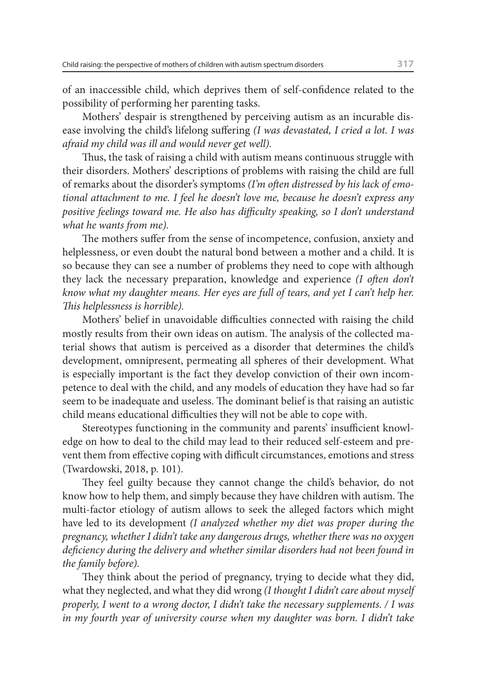of an inaccessible child, which deprives them of self-confidence related to the possibility of performing her parenting tasks.

Mothers' despair is strengthened by perceiving autism as an incurable disease involving the child's lifelong suffering *(I was devastated, I cried a lot. I was afraid my child was ill and would never get well).*

Thus, the task of raising a child with autism means continuous struggle with their disorders. Mothers' descriptions of problems with raising the child are full of remarks about the disorder's symptoms *(I'm often distressed by his lack of emotional attachment to me. I feel he doesn't love me, because he doesn't express any positive feelings toward me. He also has difficulty speaking, so I don't understand what he wants from me).*

The mothers suffer from the sense of incompetence, confusion, anxiety and helplessness, or even doubt the natural bond between a mother and a child. It is so because they can see a number of problems they need to cope with although they lack the necessary preparation, knowledge and experience *(I often don't know what my daughter means. Her eyes are full of tears, and yet I can't help her. This helplessness is horrible).*

Mothers' belief in unavoidable difficulties connected with raising the child mostly results from their own ideas on autism. The analysis of the collected material shows that autism is perceived as a disorder that determines the child's development, omnipresent, permeating all spheres of their development. What is especially important is the fact they develop conviction of their own incompetence to deal with the child, and any models of education they have had so far seem to be inadequate and useless. The dominant belief is that raising an autistic child means educational difficulties they will not be able to cope with.

Stereotypes functioning in the community and parents' insufficient knowledge on how to deal to the child may lead to their reduced self-esteem and prevent them from effective coping with difficult circumstances, emotions and stress (Twardowski, 2018, p. 101).

They feel guilty because they cannot change the child's behavior, do not know how to help them, and simply because they have children with autism. The multi-factor etiology of autism allows to seek the alleged factors which might have led to its development *(I analyzed whether my diet was proper during the pregnancy, whether I didn't take any dangerous drugs, whether there was no oxygen deficiency during the delivery and whether similar disorders had not been found in the family before).*

They think about the period of pregnancy, trying to decide what they did, what they neglected, and what they did wrong *(I thought I didn't care about myself properly, I went to a wrong doctor, I didn't take the necessary supplements. / I was in my fourth year of university course when my daughter was born. I didn't take*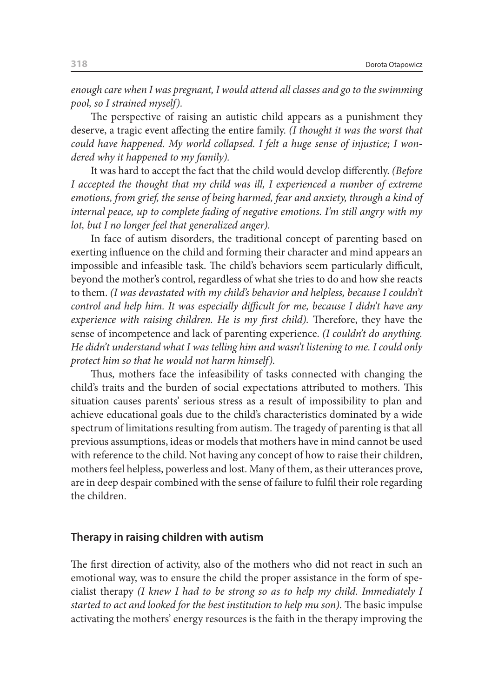*enough care when I was pregnant, I would attend all classes and go to the swimming pool, so I strained myself).*

The perspective of raising an autistic child appears as a punishment they deserve, a tragic event affecting the entire family. *(I thought it was the worst that could have happened. My world collapsed. I felt a huge sense of injustice; I wondered why it happened to my family).*

It was hard to accept the fact that the child would develop differently. *(Before I* accepted the thought that my child was ill, I experienced a number of extreme *emotions, from grief, the sense of being harmed, fear and anxiety, through a kind of internal peace, up to complete fading of negative emotions. I'm still angry with my lot, but I no longer feel that generalized anger).*

In face of autism disorders, the traditional concept of parenting based on exerting influence on the child and forming their character and mind appears an impossible and infeasible task. The child's behaviors seem particularly difficult, beyond the mother's control, regardless of what she tries to do and how she reacts to them. *(I was devastated with my child's behavior and helpless, because I couldn't control and help him. It was especially difficult for me, because I didn't have any experience with raising children. He is my first child).* Therefore, they have the sense of incompetence and lack of parenting experience. *(I couldn't do anything. He didn't understand what I was telling him and wasn't listening to me. I could only protect him so that he would not harm himself).*

Thus, mothers face the infeasibility of tasks connected with changing the child's traits and the burden of social expectations attributed to mothers. This situation causes parents' serious stress as a result of impossibility to plan and achieve educational goals due to the child's characteristics dominated by a wide spectrum of limitations resulting from autism. The tragedy of parenting is that all previous assumptions, ideas or models that mothers have in mind cannot be used with reference to the child. Not having any concept of how to raise their children, mothers feel helpless, powerless and lost. Many of them, as their utterances prove, are in deep despair combined with the sense of failure to fulfil their role regarding the children.

#### **Therapy in raising children with autism**

The first direction of activity, also of the mothers who did not react in such an emotional way, was to ensure the child the proper assistance in the form of specialist therapy *(I knew I had to be strong so as to help my child. Immediately I started to act and looked for the best institution to help mu son).* The basic impulse activating the mothers' energy resources is the faith in the therapy improving the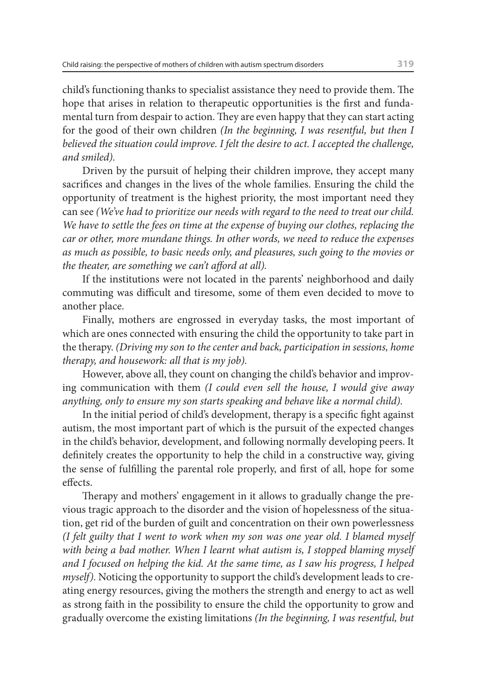child's functioning thanks to specialist assistance they need to provide them. The hope that arises in relation to therapeutic opportunities is the first and fundamental turn from despair to action. They are even happy that they can start acting for the good of their own children *(In the beginning, I was resentful, but then I believed the situation could improve. I felt the desire to act. I accepted the challenge, and smiled).*

Driven by the pursuit of helping their children improve, they accept many sacrifices and changes in the lives of the whole families. Ensuring the child the opportunity of treatment is the highest priority, the most important need they can see *(We've had to prioritize our needs with regard to the need to treat our child. We have to settle the fees on time at the expense of buying our clothes, replacing the car or other, more mundane things. In other words, we need to reduce the expenses as much as possible, to basic needs only, and pleasures, such going to the movies or the theater, are something we can't afford at all).*

If the institutions were not located in the parents' neighborhood and daily commuting was difficult and tiresome, some of them even decided to move to another place.

Finally, mothers are engrossed in everyday tasks, the most important of which are ones connected with ensuring the child the opportunity to take part in the therapy. *(Driving my son to the center and back, participation in sessions, home therapy, and housework: all that is my job).*

However, above all, they count on changing the child's behavior and improving communication with them *(I could even sell the house, I would give away anything, only to ensure my son starts speaking and behave like a normal child).*

In the initial period of child's development, therapy is a specific fight against autism, the most important part of which is the pursuit of the expected changes in the child's behavior, development, and following normally developing peers. It definitely creates the opportunity to help the child in a constructive way, giving the sense of fulfilling the parental role properly, and first of all, hope for some effects.

Therapy and mothers' engagement in it allows to gradually change the previous tragic approach to the disorder and the vision of hopelessness of the situation, get rid of the burden of guilt and concentration on their own powerlessness *(I felt guilty that I went to work when my son was one year old. I blamed myself*  with being a bad mother. When I learnt what autism is, I stopped blaming myself *and I focused on helping the kid. At the same time, as I saw his progress, I helped myself).* Noticing the opportunity to support the child's development leads to creating energy resources, giving the mothers the strength and energy to act as well as strong faith in the possibility to ensure the child the opportunity to grow and gradually overcome the existing limitations *(In the beginning, I was resentful, but*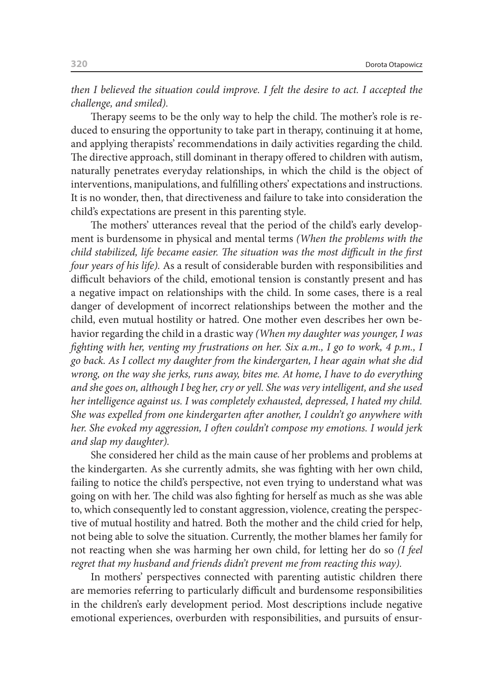*then I believed the situation could improve. I felt the desire to act. I accepted the challenge, and smiled).*

Therapy seems to be the only way to help the child. The mother's role is reduced to ensuring the opportunity to take part in therapy, continuing it at home, and applying therapists' recommendations in daily activities regarding the child. The directive approach, still dominant in therapy offered to children with autism, naturally penetrates everyday relationships, in which the child is the object of interventions, manipulations, and fulfilling others' expectations and instructions. It is no wonder, then, that directiveness and failure to take into consideration the child's expectations are present in this parenting style.

The mothers' utterances reveal that the period of the child's early development is burdensome in physical and mental terms *(When the problems with the child stabilized, life became easier. The situation was the most difficult in the first four years of his life).* As a result of considerable burden with responsibilities and difficult behaviors of the child, emotional tension is constantly present and has a negative impact on relationships with the child. In some cases, there is a real danger of development of incorrect relationships between the mother and the child, even mutual hostility or hatred. One mother even describes her own behavior regarding the child in a drastic way *(When my daughter was younger, I was fighting with her, venting my frustrations on her. Six a.m., I go to work, 4 p.m., I go back. As I collect my daughter from the kindergarten, I hear again what she did wrong, on the way she jerks, runs away, bites me. At home, I have to do everything and she goes on, although I beg her, cry or yell. She was very intelligent, and she used her intelligence against us. I was completely exhausted, depressed, I hated my child. She was expelled from one kindergarten after another, I couldn't go anywhere with her. She evoked my aggression, I often couldn't compose my emotions. I would jerk and slap my daughter).*

She considered her child as the main cause of her problems and problems at the kindergarten. As she currently admits, she was fighting with her own child, failing to notice the child's perspective, not even trying to understand what was going on with her. The child was also fighting for herself as much as she was able to, which consequently led to constant aggression, violence, creating the perspective of mutual hostility and hatred. Both the mother and the child cried for help, not being able to solve the situation. Currently, the mother blames her family for not reacting when she was harming her own child, for letting her do so *(I feel regret that my husband and friends didn't prevent me from reacting this way).*

In mothers' perspectives connected with parenting autistic children there are memories referring to particularly difficult and burdensome responsibilities in the children's early development period. Most descriptions include negative emotional experiences, overburden with responsibilities, and pursuits of ensur-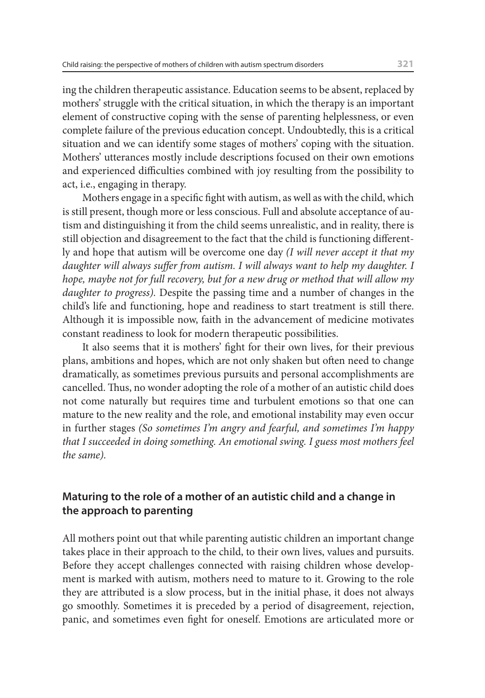ing the children therapeutic assistance. Education seems to be absent, replaced by mothers' struggle with the critical situation, in which the therapy is an important element of constructive coping with the sense of parenting helplessness, or even complete failure of the previous education concept. Undoubtedly, this is a critical situation and we can identify some stages of mothers' coping with the situation. Mothers' utterances mostly include descriptions focused on their own emotions and experienced difficulties combined with joy resulting from the possibility to act, i.e., engaging in therapy.

Mothers engage in a specific fight with autism, as well as with the child, which is still present, though more or less conscious. Full and absolute acceptance of autism and distinguishing it from the child seems unrealistic, and in reality, there is still objection and disagreement to the fact that the child is functioning differently and hope that autism will be overcome one day *(I will never accept it that my daughter will always suffer from autism. I will always want to help my daughter. I hope, maybe not for full recovery, but for a new drug or method that will allow my daughter to progress).* Despite the passing time and a number of changes in the child's life and functioning, hope and readiness to start treatment is still there. Although it is impossible now, faith in the advancement of medicine motivates constant readiness to look for modern therapeutic possibilities.

It also seems that it is mothers' fight for their own lives, for their previous plans, ambitions and hopes, which are not only shaken but often need to change dramatically, as sometimes previous pursuits and personal accomplishments are cancelled. Thus, no wonder adopting the role of a mother of an autistic child does not come naturally but requires time and turbulent emotions so that one can mature to the new reality and the role, and emotional instability may even occur in further stages *(So sometimes I'm angry and fearful, and sometimes I'm happy that I succeeded in doing something. An emotional swing. I guess most mothers feel the same).*

# **Maturing to the role of a mother of an autistic child and a change in the approach to parenting**

All mothers point out that while parenting autistic children an important change takes place in their approach to the child, to their own lives, values and pursuits. Before they accept challenges connected with raising children whose development is marked with autism, mothers need to mature to it. Growing to the role they are attributed is a slow process, but in the initial phase, it does not always go smoothly. Sometimes it is preceded by a period of disagreement, rejection, panic, and sometimes even fight for oneself. Emotions are articulated more or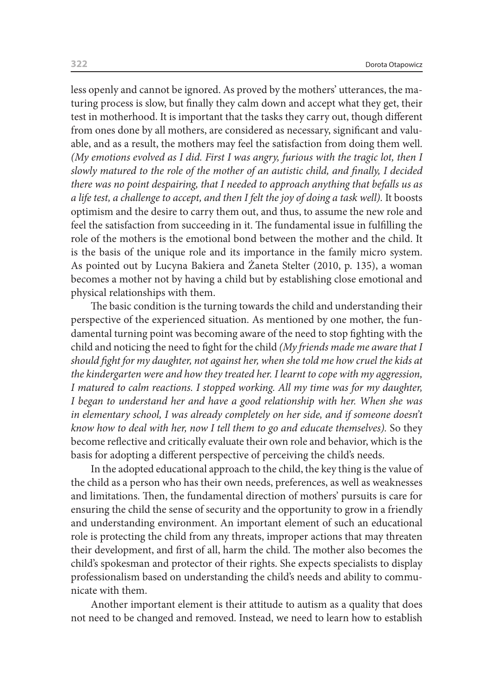less openly and cannot be ignored. As proved by the mothers' utterances, the maturing process is slow, but finally they calm down and accept what they get, their test in motherhood. It is important that the tasks they carry out, though different from ones done by all mothers, are considered as necessary, significant and valuable, and as a result, the mothers may feel the satisfaction from doing them well. *(My emotions evolved as I did. First I was angry, furious with the tragic lot, then I slowly matured to the role of the mother of an autistic child, and finally, I decided there was no point despairing, that I needed to approach anything that befalls us as a life test, a challenge to accept, and then I felt the joy of doing a task well).* It boosts optimism and the desire to carry them out, and thus, to assume the new role and feel the satisfaction from succeeding in it. The fundamental issue in fulfilling the role of the mothers is the emotional bond between the mother and the child. It is the basis of the unique role and its importance in the family micro system. As pointed out by Lucyna Bakiera and Żaneta Stelter (2010, p. 135), a woman becomes a mother not by having a child but by establishing close emotional and physical relationships with them.

The basic condition is the turning towards the child and understanding their perspective of the experienced situation. As mentioned by one mother, the fundamental turning point was becoming aware of the need to stop fighting with the child and noticing the need to fight for the child *(My friends made me aware that I should fight for my daughter, not against her, when she told me how cruel the kids at the kindergarten were and how they treated her. I learnt to cope with my aggression, I matured to calm reactions. I stopped working. All my time was for my daughter, I began to understand her and have a good relationship with her. When she was*  in elementary school, I was already completely on her side, and if someone doesn't *know how to deal with her, now I tell them to go and educate themselves).* So they become reflective and critically evaluate their own role and behavior, which is the basis for adopting a different perspective of perceiving the child's needs.

In the adopted educational approach to the child, the key thing is the value of the child as a person who has their own needs, preferences, as well as weaknesses and limitations. Then, the fundamental direction of mothers' pursuits is care for ensuring the child the sense of security and the opportunity to grow in a friendly and understanding environment. An important element of such an educational role is protecting the child from any threats, improper actions that may threaten their development, and first of all, harm the child. The mother also becomes the child's spokesman and protector of their rights. She expects specialists to display professionalism based on understanding the child's needs and ability to communicate with them.

Another important element is their attitude to autism as a quality that does not need to be changed and removed. Instead, we need to learn how to establish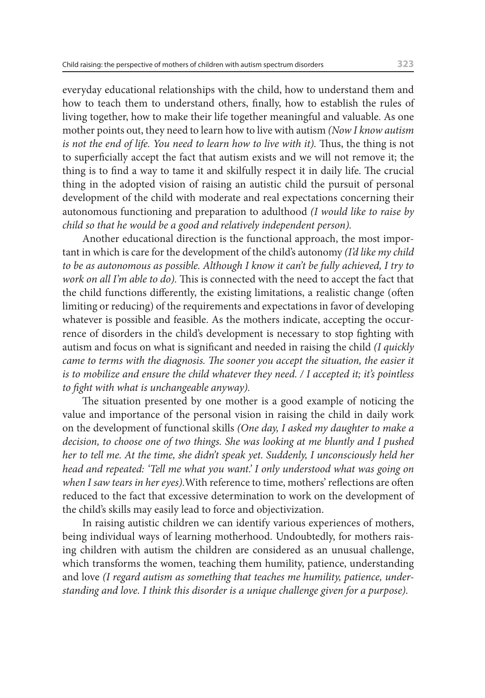everyday educational relationships with the child, how to understand them and how to teach them to understand others, finally, how to establish the rules of living together, how to make their life together meaningful and valuable. As one mother points out, they need to learn how to live with autism *(Now I know autism is not the end of life. You need to learn how to live with it). Thus, the thing is not* to superficially accept the fact that autism exists and we will not remove it; the thing is to find a way to tame it and skilfully respect it in daily life. The crucial thing in the adopted vision of raising an autistic child the pursuit of personal development of the child with moderate and real expectations concerning their autonomous functioning and preparation to adulthood *(I would like to raise by child so that he would be a good and relatively independent person).*

Another educational direction is the functional approach, the most important in which is care for the development of the child's autonomy *(I'd like my child to be as autonomous as possible. Although I know it can't be fully achieved, I try to work on all I'm able to do).* This is connected with the need to accept the fact that the child functions differently, the existing limitations, a realistic change (often limiting or reducing) of the requirements and expectations in favor of developing whatever is possible and feasible. As the mothers indicate, accepting the occurrence of disorders in the child's development is necessary to stop fighting with autism and focus on what is significant and needed in raising the child *(I quickly came to terms with the diagnosis. The sooner you accept the situation, the easier it is to mobilize and ensure the child whatever they need. / I accepted it; it's pointless to fight with what is unchangeable anyway).*

The situation presented by one mother is a good example of noticing the value and importance of the personal vision in raising the child in daily work on the development of functional skills *(One day, I asked my daughter to make a decision, to choose one of two things. She was looking at me bluntly and I pushed her to tell me. At the time, she didn't speak yet. Suddenly, I unconsciously held her head and repeated: 'Tell me what you want.' I only understood what was going on when I saw tears in her eyes).*With reference to time, mothers' reflections are often reduced to the fact that excessive determination to work on the development of the child's skills may easily lead to force and objectivization.

In raising autistic children we can identify various experiences of mothers, being individual ways of learning motherhood. Undoubtedly, for mothers raising children with autism the children are considered as an unusual challenge, which transforms the women, teaching them humility, patience, understanding and love *(I regard autism as something that teaches me humility, patience, understanding and love. I think this disorder is a unique challenge given for a purpose).*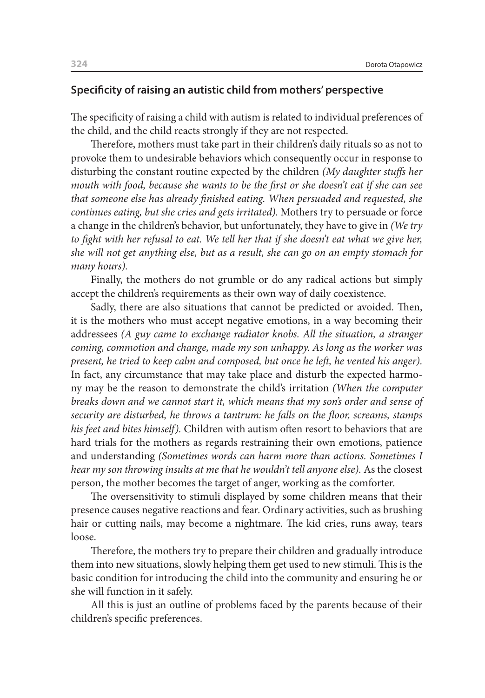#### **Specificity of raising an autistic child from mothers' perspective**

The specificity of raising a child with autism is related to individual preferences of the child, and the child reacts strongly if they are not respected.

Therefore, mothers must take part in their children's daily rituals so as not to provoke them to undesirable behaviors which consequently occur in response to disturbing the constant routine expected by the children *(My daughter stuffs her mouth with food, because she wants to be the first or she doesn't eat if she can see that someone else has already finished eating. When persuaded and requested, she continues eating, but she cries and gets irritated).* Mothers try to persuade or force a change in the children's behavior, but unfortunately, they have to give in *(We try to fight with her refusal to eat. We tell her that if she doesn't eat what we give her, she will not get anything else, but as a result, she can go on an empty stomach for many hours).*

Finally, the mothers do not grumble or do any radical actions but simply accept the children's requirements as their own way of daily coexistence.

Sadly, there are also situations that cannot be predicted or avoided. Then, it is the mothers who must accept negative emotions, in a way becoming their addressees *(A guy came to exchange radiator knobs. All the situation, a stranger coming, commotion and change, made my son unhappy. As long as the worker was present, he tried to keep calm and composed, but once he left, he vented his anger).*  In fact, any circumstance that may take place and disturb the expected harmony may be the reason to demonstrate the child's irritation *(When the computer breaks down and we cannot start it, which means that my son's order and sense of security are disturbed, he throws a tantrum: he falls on the floor, screams, stamps his feet and bites himself).* Children with autism often resort to behaviors that are hard trials for the mothers as regards restraining their own emotions, patience and understanding *(Sometimes words can harm more than actions. Sometimes I hear my son throwing insults at me that he wouldn't tell anyone else).* As the closest person, the mother becomes the target of anger, working as the comforter.

The oversensitivity to stimuli displayed by some children means that their presence causes negative reactions and fear. Ordinary activities, such as brushing hair or cutting nails, may become a nightmare. The kid cries, runs away, tears loose.

Therefore, the mothers try to prepare their children and gradually introduce them into new situations, slowly helping them get used to new stimuli. This is the basic condition for introducing the child into the community and ensuring he or she will function in it safely.

All this is just an outline of problems faced by the parents because of their children's specific preferences.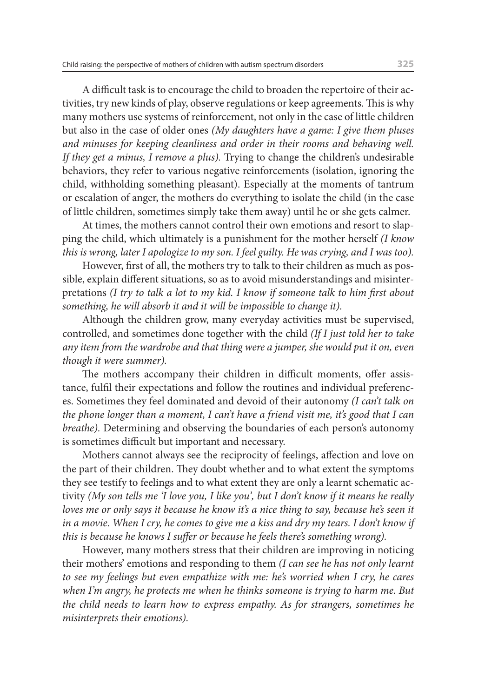A difficult task is to encourage the child to broaden the repertoire of their activities, try new kinds of play, observe regulations or keep agreements. This is why many mothers use systems of reinforcement, not only in the case of little children but also in the case of older ones *(My daughters have a game: I give them pluses and minuses for keeping cleanliness and order in their rooms and behaving well. If they get a minus, I remove a plus).* Trying to change the children's undesirable behaviors, they refer to various negative reinforcements (isolation, ignoring the child, withholding something pleasant). Especially at the moments of tantrum or escalation of anger, the mothers do everything to isolate the child (in the case of little children, sometimes simply take them away) until he or she gets calmer.

At times, the mothers cannot control their own emotions and resort to slapping the child, which ultimately is a punishment for the mother herself *(I know this is wrong, later I apologize to my son. I feel guilty. He was crying, and I was too).*

However, first of all, the mothers try to talk to their children as much as possible, explain different situations, so as to avoid misunderstandings and misinterpretations *(I try to talk a lot to my kid. I know if someone talk to him first about something, he will absorb it and it will be impossible to change it).*

Although the children grow, many everyday activities must be supervised, controlled, and sometimes done together with the child *(If I just told her to take any item from the wardrobe and that thing were a jumper, she would put it on, even though it were summer).*

The mothers accompany their children in difficult moments, offer assistance, fulfil their expectations and follow the routines and individual preferences. Sometimes they feel dominated and devoid of their autonomy *(I can't talk on the phone longer than a moment, I can't have a friend visit me, it's good that I can breathe).* Determining and observing the boundaries of each person's autonomy is sometimes difficult but important and necessary.

Mothers cannot always see the reciprocity of feelings, affection and love on the part of their children. They doubt whether and to what extent the symptoms they see testify to feelings and to what extent they are only a learnt schematic activity *(My son tells me 'I love you, I like you', but I don't know if it means he really loves me or only says it because he know it's a nice thing to say, because he's seen it in a movie*. *When I cry, he comes to give me a kiss and dry my tears. I don't know if this is because he knows I suffer or because he feels there's something wrong).*

However, many mothers stress that their children are improving in noticing their mothers' emotions and responding to them *(I can see he has not only learnt to see my feelings but even empathize with me: he's worried when I cry, he cares when I'm angry, he protects me when he thinks someone is trying to harm me. But the child needs to learn how to express empathy. As for strangers, sometimes he misinterprets their emotions).*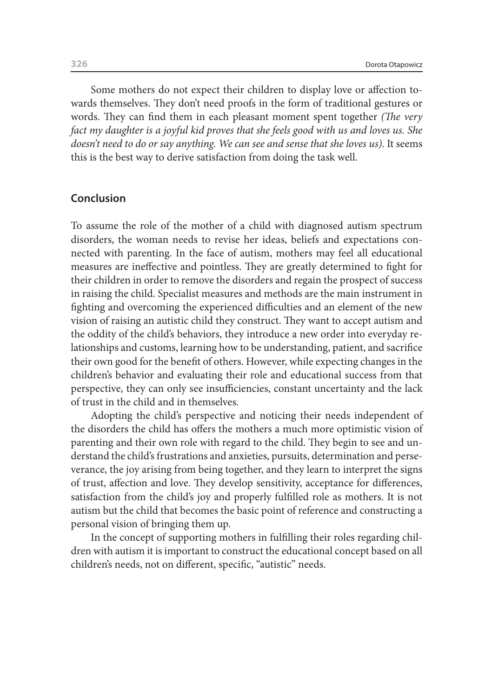Some mothers do not expect their children to display love or affection towards themselves. They don't need proofs in the form of traditional gestures or words. They can find them in each pleasant moment spent together *(The very fact my daughter is a joyful kid proves that she feels good with us and loves us. She doesn't need to do or say anything. We can see and sense that she loves us).* It seems this is the best way to derive satisfaction from doing the task well.

#### **Conclusion**

To assume the role of the mother of a child with diagnosed autism spectrum disorders, the woman needs to revise her ideas, beliefs and expectations connected with parenting. In the face of autism, mothers may feel all educational measures are ineffective and pointless. They are greatly determined to fight for their children in order to remove the disorders and regain the prospect of success in raising the child. Specialist measures and methods are the main instrument in fighting and overcoming the experienced difficulties and an element of the new vision of raising an autistic child they construct. They want to accept autism and the oddity of the child's behaviors, they introduce a new order into everyday relationships and customs, learning how to be understanding, patient, and sacrifice their own good for the benefit of others. However, while expecting changes in the children's behavior and evaluating their role and educational success from that perspective, they can only see insufficiencies, constant uncertainty and the lack of trust in the child and in themselves.

Adopting the child's perspective and noticing their needs independent of the disorders the child has offers the mothers a much more optimistic vision of parenting and their own role with regard to the child. They begin to see and understand the child's frustrations and anxieties, pursuits, determination and perseverance, the joy arising from being together, and they learn to interpret the signs of trust, affection and love. They develop sensitivity, acceptance for differences, satisfaction from the child's joy and properly fulfilled role as mothers. It is not autism but the child that becomes the basic point of reference and constructing a personal vision of bringing them up.

In the concept of supporting mothers in fulfilling their roles regarding children with autism it is important to construct the educational concept based on all children's needs, not on different, specific, "autistic" needs.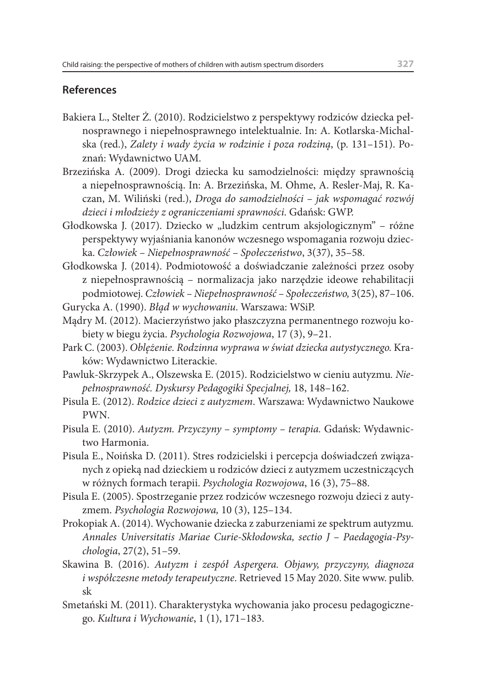#### **References**

- Bakiera L., Stelter Ż. (2010). Rodzicielstwo z perspektywy rodziców dziecka pełnosprawnego i niepełnosprawnego intelektualnie. In: A. Kotlarska-Michalska (red.), *Zalety i wady życia w rodzinie i poza rodziną*, (p. 131–151). Poznań: Wydawnictwo UAM.
- Brzezińska A. (2009). Drogi dziecka ku samodzielności: między sprawnością a niepełnosprawnością. In: A. Brzezińska, M. Ohme, A. Resler-Maj, R. Kaczan, M. Wiliński (red.), *Droga do samodzielności – jak wspomagać rozwój dzieci i młodzieży z ograniczeniami sprawności*. Gdańsk: GWP.
- Głodkowska J. (2017). Dziecko w "ludzkim centrum aksjologicznym" różne perspektywy wyjaśniania kanonów wczesnego wspomagania rozwoju dziecka. *Człowiek – Niepełnosprawność – Społeczeństwo*, 3(37), 35–58.
- Głodkowska J. (2014). Podmiotowość a doświadczanie zależności przez osoby z niepełnosprawnością – normalizacja jako narzędzie ideowe rehabilitacji podmiotowej. *Człowiek – Niepełnosprawność – Społeczeństwo,* 3(25), 87–106.

Gurycka A. (1990). *Błąd w wychowaniu*. Warszawa: WSiP.

- Mądry M. (2012). Macierzyństwo jako płaszczyzna permanentnego rozwoju kobiety w biegu życia. *Psychologia Rozwojowa*, 17 (3), 9–21.
- Park C. (2003). *Oblężenie. Rodzinna wyprawa w świat dziecka autystycznego.* Kraków: Wydawnictwo Literackie.
- Pawluk-Skrzypek A., Olszewska E. (2015). Rodzicielstwo w cieniu autyzmu*. Niepełnosprawność. Dyskursy Pedagogiki Specjalnej,* 18, 148–162.
- Pisula E. (2012). *Rodzice dzieci z autyzmem*. Warszawa: Wydawnictwo Naukowe PWN.
- Pisula E. (2010). *Autyzm. Przyczyny symptomy terapia.* Gdańsk: Wydawnictwo Harmonia.
- Pisula E., Noińska D. (2011). Stres rodzicielski i percepcja doświadczeń związanych z opieką nad dzieckiem u rodziców dzieci z autyzmem uczestniczących w różnych formach terapii. *Psychologia Rozwojowa*, 16 (3), 75–88.
- Pisula E. (2005). Spostrzeganie przez rodziców wczesnego rozwoju dzieci z autyzmem. *Psychologia Rozwojowa,* 10 (3), 125–134.
- Prokopiak A. (2014). Wychowanie dziecka z zaburzeniami ze spektrum autyzmu*. Annales Universitatis Mariae Curie-Skłodowska, sectio J – Paedagogia-Psychologia*, 27(2), 51–59.
- Skawina B. (2016). *Autyzm i zespół Aspergera. Objawy, przyczyny, diagnoza i współczesne metody terapeutyczne*. Retrieved 15 May 2020. Site www. pulib. sk
- Smetański M. (2011). Charakterystyka wychowania jako procesu pedagogicznego. *Kultura i Wychowanie*, 1 (1), 171–183.